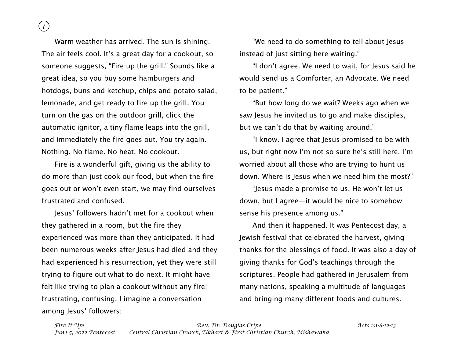*Fire It Up! Rev. Dr. Douglas Cripe Acts 2:1-8-12-13 June 5, 2022 Pentecost Central Christian Church, Elkhart & First Christian Church, Mishawaka*

Warm weather has arrived. The sun is shining. The air feels cool. It's a great day for a cookout, so someone suggests, "Fire up the grill." Sounds like a great idea, so you buy some hamburgers and hotdogs, buns and ketchup, chips and potato salad, lemonade, and get ready to fire up the grill. You turn on the gas on the outdoor grill, click the automatic ignitor, a tiny flame leaps into the grill, and immediately the fire goes out. You try again. Nothing. No flame. No heat. No cookout.

Fire is a wonderful gift, giving us the ability to do more than just cook our food, but when the fire goes out or won't even start, we may find ourselves frustrated and confused.

Jesus' followers hadn't met for a cookout when they gathered in a room, but the fire they experienced was more than they anticipated. It had been numerous weeks after Jesus had died and they had experienced his resurrection, yet they were still trying to figure out what to do next. It might have felt like trying to plan a cookout without any fire: frustrating, confusing. I imagine a conversation among Jesus' followers:

"We need to do something to tell about Jesus instead of just sitting here waiting."

"I don't agree. We need to wait, for Jesus said he would send us a Comforter, an Advocate. We need to be patient."

"But how long do we wait? Weeks ago when we saw Jesus he invited us to go and make disciples, but we can't do that by waiting around."

"I know. I agree that Jesus promised to be with us, but right now I'm not so sure he's still here. I'm worried about all those who are trying to hunt us down. Where is Jesus when we need him the most?"

"Jesus made a promise to us. He won't let us down, but I agree—it would be nice to somehow sense his presence among us."

And then it happened. It was Pentecost day, a Jewish festival that celebrated the harvest, giving thanks for the blessings of food. It was also a day of giving thanks for God's teachings through the scriptures. People had gathered in Jerusalem from many nations, speaking a multitude of languages and bringing many different foods and cultures.

## *1*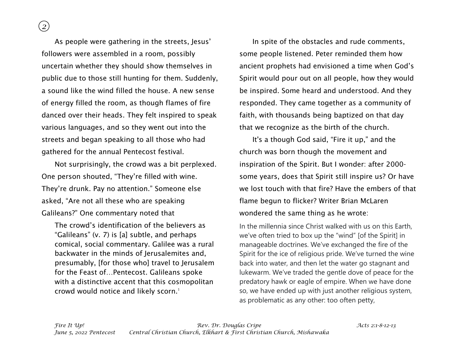*2*

As people were gathering in the streets, Jesus' followers were assembled in a room, possibly uncertain whether they should show themselves in public due to those still hunting for them. Suddenly, a sound like the wind filled the house. A new sense of energy filled the room, as though flames of fire danced over their heads. They felt inspired to speak various languages, and so they went out into the streets and began speaking to all those who had gathered for the annual Pentecost festival.

Not surprisingly, the crowd was a bit perplexed. One person shouted, "They're filled with wine. They're drunk. Pay no attention." Someone else asked, "Are not all these who are speaking Galileans?" One commentary noted that

The crowd's identification of the believers as "Galileans" (v. 7) is [a] subtle, and perhaps comical, social commentary. Galilee was a rural backwater in the minds of Jerusalemites and, presumably, [for those who] travel to Jerusalem for the Feast of…Pentecost. Galileans spoke with a distinctive accent that this cosmopolitan crowd would notice and likely scorn.<sup>1</sup>

In spite of the obstacles and rude comments, some people listened. Peter reminded them how ancient prophets had envisioned a time when God's Spirit would pour out on all people, how they would be inspired. Some heard and understood. And they responded. They came together as a community of faith, with thousands being baptized on that day that we recognize as the birth of the church.

It's a though God said, "Fire it up," and the church was born though the movement and inspiration of the Spirit. But I wonder: after 2000 some years, does that Spirit still inspire us? Or have we lost touch with that fire? Have the embers of that flame begun to flicker? Writer Brian McLaren wondered the same thing as he wrote:

In the millennia since Christ walked with us on this Earth, we've often tried to box up the "wind" [of the Spirit] in manageable doctrines. We've exchanged the fire of the Spirit for the ice of religious pride. We've turned the wine back into water, and then let the water go stagnant and lukewarm. We've traded the gentle dove of peace for the predatory hawk or eagle of empire. When we have done so, we have ended up with just another religious system, as problematic as any other: too often petty,